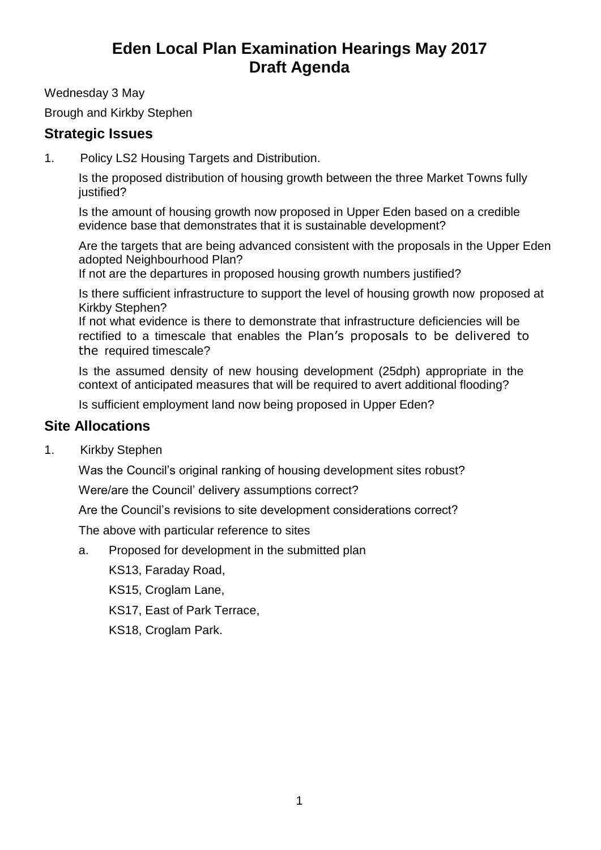## **Eden Local Plan Examination Hearings May 2017 Draft Agenda**

Wednesday 3 May

Brough and Kirkby Stephen

## **Strategic Issues**

1. Policy LS2 Housing Targets and Distribution.

Is the proposed distribution of housing growth between the three Market Towns fully justified?

Is the amount of housing growth now proposed in Upper Eden based on a credible evidence base that demonstrates that it is sustainable development?

Are the targets that are being advanced consistent with the proposals in the Upper Eden adopted Neighbourhood Plan?

If not are the departures in proposed housing growth numbers justified?

Is there sufficient infrastructure to support the level of housing growth now proposed at Kirkby Stephen?

If not what evidence is there to demonstrate that infrastructure deficiencies will be rectified to a timescale that enables the Plan's proposals to be delivered to the required timescale?

Is the assumed density of new housing development (25dph) appropriate in the context of anticipated measures that will be required to avert additional flooding?

Is sufficient employment land now being proposed in Upper Eden?

## **Site Allocations**

1. Kirkby Stephen

Was the Council's original ranking of housing development sites robust?

Were/are the Council' delivery assumptions correct?

Are the Council's revisions to site development considerations correct?

The above with particular reference to sites

a. Proposed for development in the submitted plan

KS13, Faraday Road,

KS15, Croglam Lane,

KS17, East of Park Terrace,

KS18, Croglam Park.